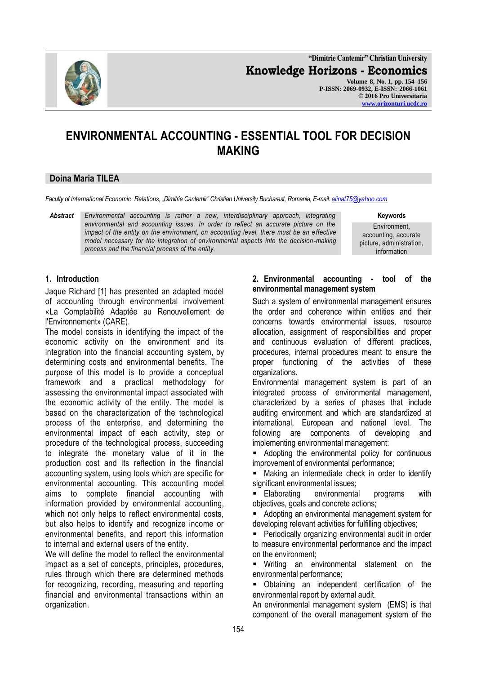

**"Dimitrie Cantemir" Christian University Knowledge Horizons - Economics Volume 8, No. 1, pp. 154–156 P-ISSN: 2069-0932, E-ISSN: 2066-1061 © 2016 Pro Universitaria [www.orizonturi.ucdc.ro](http://www.orizonturi.ucdc.ro/)**

# **ENVIRONMENTAL ACCOUNTING - ESSENTIAL TOOL FOR DECISION MAKING**

#### **Doina Maria TILEA**

*Faculty of International Economic Relations, "Dimitrie Cantemir" Christian University Bucharest, Romania, E-mail[: alinat75@yahoo.com](mailto:alinat75@yahoo.com)*

*Abstract Environmental accounting is rather a new, interdisciplinary approach, integrating environmental and accounting issues. In order to reflect an accurate picture on the impact of the entity on the environment, on accounting level, there must be an effective model necessary for the integration of environmental aspects into the decision-making process and the financial process of the entity.*

**Keywords**

Environment, accounting, accurate picture, administration, information

#### **1. Introduction**

Jaque Richard [1] has presented an adapted model of accounting through environmental involvement «La Comptabilité Adaptée au Renouvellement de l'Environnement» (CARE).

The model consists in identifying the impact of the economic activity on the environment and its integration into the financial accounting system, by determining costs and environmental benefits. The purpose of this model is to provide a conceptual framework and a practical methodology for assessing the environmental impact associated with the economic activity of the entity. The model is based on the characterization of the technological process of the enterprise, and determining the environmental impact of each activity, step or procedure of the technological process, succeeding to integrate the monetary value of it in the production cost and its reflection in the financial accounting system, using tools which are specific for environmental accounting. This accounting model aims to complete financial accounting with information provided by environmental accounting, which not only helps to reflect environmental costs, but also helps to identify and recognize income or environmental benefits, and report this information to internal and external users of the entity.

We will define the model to reflect the environmental impact as a set of concepts, principles, procedures, rules through which there are determined methods for recognizing, recording, measuring and reporting financial and environmental transactions within an organization.

### **2. Environmental accounting - tool of the environmental management system**

Such a system of environmental management ensures the order and coherence within entities and their concerns towards environmental issues, resource allocation, assignment of responsibilities and proper and continuous evaluation of different practices, procedures, internal procedures meant to ensure the proper functioning of the activities of these organizations.

Environmental management system is part of an integrated process of environmental management, characterized by a series of phases that include auditing environment and which are standardized at international, European and national level. The following are components of developing and implementing environmental management:

 Adopting the environmental policy for continuous improvement of environmental performance;

**Making an intermediate check in order to identify** significant environmental issues;

**Elaborating environmental programs with** objectives, goals and concrete actions;

 Adopting an environmental management system for developing relevant activities for fulfilling objectives;

 Periodically organizing environmental audit in order to measure environmental performance and the impact on the environment;

 Writing an environmental statement on the environmental performance;

 Obtaining an independent certification of the environmental report by external audit.

An environmental management system (EMS) is that component of the overall management system of the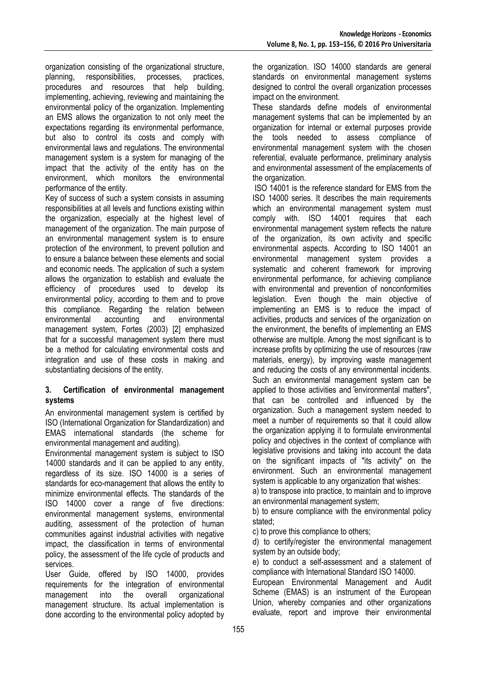organization consisting of the organizational structure,<br>planning, responsibilities, processes, practices, planning, responsibilities, processes, practices, procedures and resources that help building, implementing, achieving, reviewing and maintaining the environmental policy of the organization. Implementing an EMS allows the organization to not only meet the expectations regarding its environmental performance, but also to control its costs and comply with environmental laws and regulations. The environmental management system is a system for managing of the impact that the activity of the entity has on the environment, which monitors the environmental performance of the entity.

Key of success of such a system consists in assuming responsibilities at all levels and functions existing within the organization, especially at the highest level of management of the organization. The main purpose of an environmental management system is to ensure protection of the environment, to prevent pollution and to ensure a balance between these elements and social and economic needs. The application of such a system allows the organization to establish and evaluate the efficiency of procedures used to develop its environmental policy, according to them and to prove this compliance. Regarding the relation between environmental accounting and environmental management system, Fortes (2003) [2] emphasized that for a successful management system there must be a method for calculating environmental costs and integration and use of these costs in making and substantiating decisions of the entity.

## **3. Certification of environmental management systems**

An environmental management system is certified by ISO (International Organization for Standardization) and EMAS international standards (the scheme for environmental management and auditing).

Environmental management system is subject to ISO 14000 standards and it can be applied to any entity, regardless of its size. ISO 14000 is a series of standards for eco-management that allows the entity to minimize environmental effects. The standards of the ISO 14000 cover a range of five directions: environmental management systems, environmental auditing, assessment of the protection of human communities against industrial activities with negative impact, the classification in terms of environmental policy, the assessment of the life cycle of products and services.

User Guide, offered by ISO 14000, provides requirements for the integration of environmental management into the overall organizational management structure. Its actual implementation is done according to the environmental policy adopted by the organization. ISO 14000 standards are general standards on environmental management systems designed to control the overall organization processes impact on the environment.

These standards define models of environmental management systems that can be implemented by an organization for internal or external purposes provide the tools needed to assess compliance of environmental management system with the chosen referential, evaluate performance, preliminary analysis and environmental assessment of the emplacements of the organization.

ISO 14001 is the reference standard for EMS from the ISO 14000 series. It describes the main requirements which an environmental management system must comply with. ISO 14001 requires that each environmental management system reflects the nature of the organization, its own activity and specific environmental aspects. According to ISO 14001 an environmental management system provides a systematic and coherent framework for improving environmental performance, for achieving compliance with environmental and prevention of nonconformities legislation. Even though the main objective of implementing an EMS is to reduce the impact of activities, products and services of the organization on the environment, the benefits of implementing an EMS otherwise are multiple. Among the most significant is to increase profits by optimizing the use of resources (raw materials, energy), by improving waste management and reducing the costs of any environmental incidents. Such an environmental management system can be applied to those activities and environmental matters", that can be controlled and influenced by the organization. Such a management system needed to meet a number of requirements so that it could allow the organization applying it to formulate environmental policy and objectives in the context of compliance with legislative provisions and taking into account the data on the significant impacts of "its activity" on the environment. Such an environmental management system is applicable to any organization that wishes:

a) to transpose into practice, to maintain and to improve an environmental management system;

b) to ensure compliance with the environmental policy stated;

c) to prove this compliance to others;

d) to certify/register the environmental management system by an outside body;

e) to conduct a self-assessment and a statement of compliance with International Standard ISO 14000.

European Environmental Management and Audit Scheme (EMAS) is an instrument of the European Union, whereby companies and other organizations evaluate, report and improve their environmental